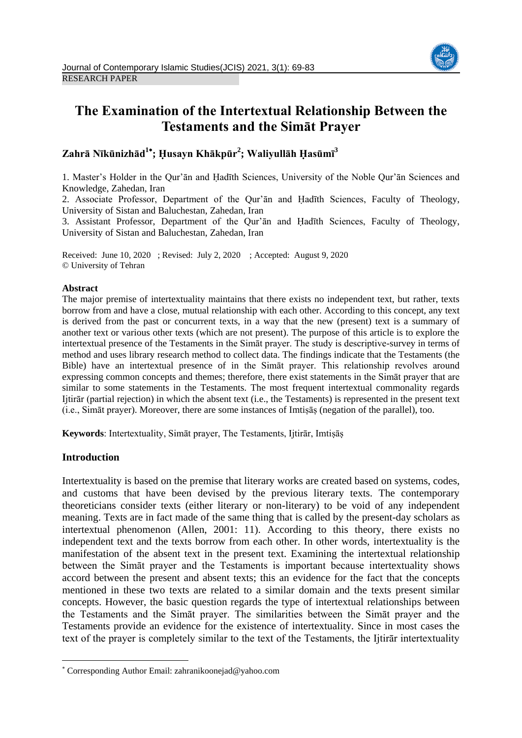

# **The Examination of the Intertextual Relationship Between the Testaments and the Simāt Prayer**

**Zahrā Nīkūnizhād<sup>1</sup> ; Ḥusayn Khākpūr<sup>2</sup> ; Waliyullāh Ḥasūmī<sup>3</sup>**

1. Master's Holder in the Qur'ān and Ḥadīth Sciences, University of the Noble Qur'ān Sciences and Knowledge, Zahedan, Iran

2. Associate Professor, Department of the Qur'ān and Ḥadīth Sciences, Faculty of Theology, University of Sistan and Baluchestan, Zahedan, Iran

3. Assistant Professor, Department of the Qur'ān and Ḥadīth Sciences, Faculty of Theology, University of Sistan and Baluchestan, Zahedan, Iran

Received: June 10, 2020 ; Revised: July 2, 2020 ; Accepted: August 9, 2020 © University of Tehran

# **Abstract**

The major premise of intertextuality maintains that there exists no independent text, but rather, texts borrow from and have a close, mutual relationship with each other. According to this concept, any text is derived from the past or concurrent texts, in a way that the new (present) text is a summary of another text or various other texts (which are not present). The purpose of this article is to explore the intertextual presence of the Testaments in the Simāt prayer. The study is descriptive-survey in terms of method and uses library research method to collect data. The findings indicate that the Testaments (the Bible) have an intertextual presence of in the Simāt prayer. This relationship revolves around expressing common concepts and themes; therefore, there exist statements in the Simāt prayer that are similar to some statements in the Testaments. The most frequent intertextual commonality regards Ijtirār (partial rejection) in which the absent text (i.e., the Testaments) is represented in the present text (i.e., Simāt prayer). Moreover, there are some instances of Imtiṣāṣ (negation of the parallel), too.

**Keywords**: Intertextuality, Simāt prayer, The Testaments, Ijtirār, Imtiṣāṣ

# **Introduction**

**.** 

Intertextuality is based on the premise that literary works are created based on systems, codes, and customs that have been devised by the previous literary texts. The contemporary theoreticians consider texts (either literary or non-literary) to be void of any independent meaning. Texts are in fact made of the same thing that is called by the present-day scholars as intertextual phenomenon (Allen, 2001: 11). According to this theory, there exists no independent text and the texts borrow from each other. In other words, intertextuality is the manifestation of the absent text in the present text. Examining the intertextual relationship between the Simāt prayer and the Testaments is important because intertextuality shows accord between the present and absent texts; this an evidence for the fact that the concepts mentioned in these two texts are related to a similar domain and the texts present similar concepts. However, the basic question regards the type of intertextual relationships between the Testaments and the Simāt prayer. The similarities between the Simāt prayer and the Testaments provide an evidence for the existence of intertextuality. Since in most cases the text of the prayer is completely similar to the text of the Testaments, the Ijtirār intertextuality

Corresponding Author Email: zahranikoonejad@yahoo.com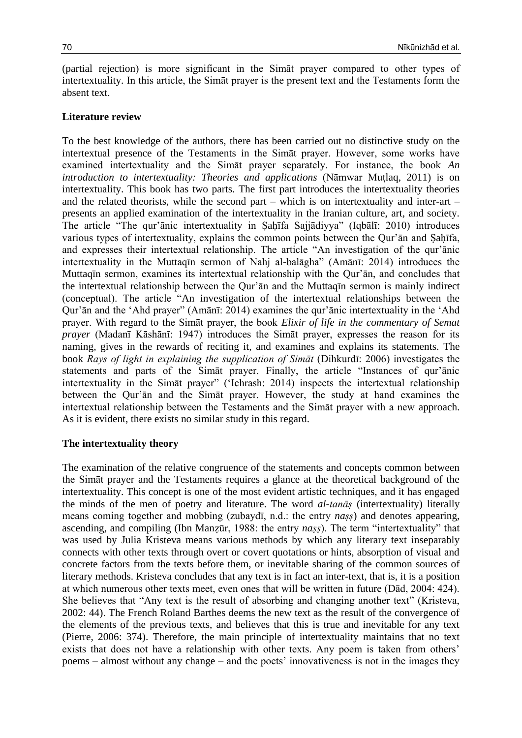(partial rejection) is more significant in the Simāt prayer compared to other types of intertextuality. In this article, the Simāt prayer is the present text and the Testaments form the absent text.

# **Literature review**

To the best knowledge of the authors, there has been carried out no distinctive study on the intertextual presence of the Testaments in the Simāt prayer. However, some works have examined intertextuality and the Simāt prayer separately. For instance, the book *An introduction to intertextuality: Theories and applications* (Nāmwar Muṭlaq, 2011) is on intertextuality. This book has two parts. The first part introduces the intertextuality theories and the related theorists, while the second part – which is on intertextuality and inter-art – presents an applied examination of the intertextuality in the Iranian culture, art, and society. The article "The qur'ānic intertextuality in Ṣaḥīfa Sajjādiyya" (Iqbālī: 2010) introduces various types of intertextuality, explains the common points between the Our'an and Sahīfa, and expresses their intertextual relationship. The article "An investigation of the qur'ānic intertextuality in the Muttaqīn sermon of Nahj al-balāgha" (Amānī: 2014) introduces the Muttaqīn sermon, examines its intertextual relationship with the Qur'ān, and concludes that the intertextual relationship between the Qur'ān and the Muttaqīn sermon is mainly indirect (conceptual). The article "An investigation of the intertextual relationships between the Qur'ān and the 'Ahd prayer" (Amānī: 2014) examines the qur'ānic intertextuality in the 'Ahd prayer. With regard to the Simāt prayer, the book *Elixir of life in the commentary of Semat prayer* (Madanī Kāshānī: 1947) introduces the Simāt prayer, expresses the reason for its naming, gives in the rewards of reciting it, and examines and explains its statements. The book *Rays of light in explaining the supplication of Simāt* (Dihkurdī: 2006) investigates the statements and parts of the Simāt prayer. Finally, the article "Instances of qur'ānic intertextuality in the Simāt prayer" ('Ichrash: 2014) inspects the intertextual relationship between the Qur'ān and the Simāt prayer. However, the study at hand examines the intertextual relationship between the Testaments and the Simāt prayer with a new approach. As it is evident, there exists no similar study in this regard.

## **The intertextuality theory**

The examination of the relative congruence of the statements and concepts common between the Simāt prayer and the Testaments requires a glance at the theoretical background of the intertextuality. This concept is one of the most evident artistic techniques, and it has engaged the minds of the men of poetry and literature. The word *al-tanāṣ* (intertextuality) literally means coming together and mobbing (zubaydī, n.d.: the entry *naṣṣ*) and denotes appearing, ascending, and compiling (Ibn Manzūr, 1988: the entry *nass*). The term "intertextuality" that was used by Julia Kristeva means various methods by which any literary text inseparably connects with other texts through overt or covert quotations or hints, absorption of visual and concrete factors from the texts before them, or inevitable sharing of the common sources of literary methods. Kristeva concludes that any text is in fact an inter-text, that is, it is a position at which numerous other texts meet, even ones that will be written in future (Dād, 2004: 424). She believes that "Any text is the result of absorbing and changing another text" (Kristeva, 2002: 44). The French Roland Barthes deems the new text as the result of the convergence of the elements of the previous texts, and believes that this is true and inevitable for any text (Pierre, 2006: 374). Therefore, the main principle of intertextuality maintains that no text exists that does not have a relationship with other texts. Any poem is taken from others' poems – almost without any change – and the poets' innovativeness is not in the images they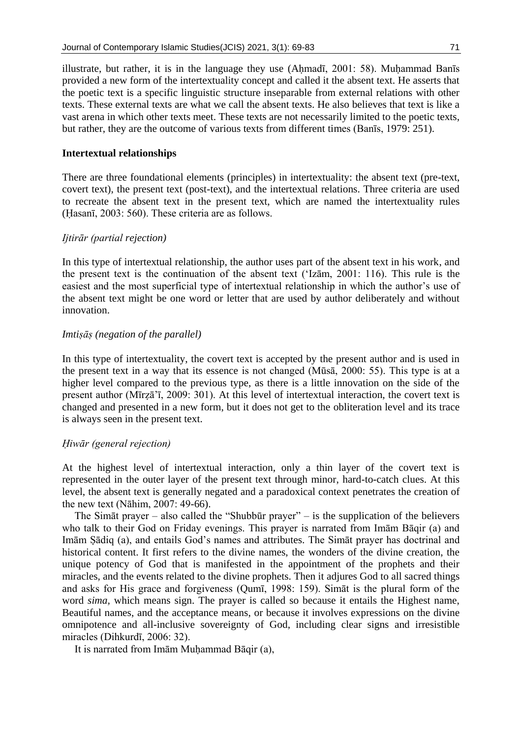illustrate, but rather, it is in the language they use  $(Ahmad\bar{a}, 2001: 58)$ . Muhammad Banīs provided a new form of the intertextuality concept and called it the absent text. He asserts that the poetic text is a specific linguistic structure inseparable from external relations with other texts. These external texts are what we call the absent texts. He also believes that text is like a vast arena in which other texts meet. These texts are not necessarily limited to the poetic texts, but rather, they are the outcome of various texts from different times (Banīs, 1979: 251).

## **Intertextual relationships**

There are three foundational elements (principles) in intertextuality: the absent text (pre-text, covert text), the present text (post-text), and the intertextual relations. Three criteria are used to recreate the absent text in the present text, which are named the intertextuality rules (Ḥasanī, 2003: 560). These criteria are as follows.

# *Ijtirār (partial rejection)*

In this type of intertextual relationship, the author uses part of the absent text in his work, and the present text is the continuation of the absent text ('Izām, 2001: 116). This rule is the easiest and the most superficial type of intertextual relationship in which the author's use of the absent text might be one word or letter that are used by author deliberately and without innovation.

## *Imtiṣāṣ (negation of the parallel)*

In this type of intertextuality, the covert text is accepted by the present author and is used in the present text in a way that its essence is not changed (Mūsā, 2000: 55). This type is at a higher level compared to the previous type, as there is a little innovation on the side of the present author (Mīrẓā'ī, 2009: 301). At this level of intertextual interaction, the covert text is changed and presented in a new form, but it does not get to the obliteration level and its trace is always seen in the present text.

## *Ḥiwār (general rejection)*

At the highest level of intertextual interaction, only a thin layer of the covert text is represented in the outer layer of the present text through minor, hard-to-catch clues. At this level, the absent text is generally negated and a paradoxical context penetrates the creation of the new text (Nāhim, 2007: 49-66).

The Simāt prayer – also called the "Shubbūr prayer" – is the supplication of the believers who talk to their God on Friday evenings. This prayer is narrated from Imām Bāqir (a) and Imām Ṣādiq (a), and entails God's names and attributes. The Simāt prayer has doctrinal and historical content. It first refers to the divine names, the wonders of the divine creation, the unique potency of God that is manifested in the appointment of the prophets and their miracles, and the events related to the divine prophets. Then it adjures God to all sacred things and asks for His grace and forgiveness (Qumī, 1998: 159). Simāt is the plural form of the word *sima,* which means sign. The prayer is called so because it entails the Highest name, Beautiful names, and the acceptance means, or because it involves expressions on the divine omnipotence and all-inclusive sovereignty of God, including clear signs and irresistible miracles (Dihkurdī, 2006: 32).

It is narrated from Imām Muhammad Bāqir (a),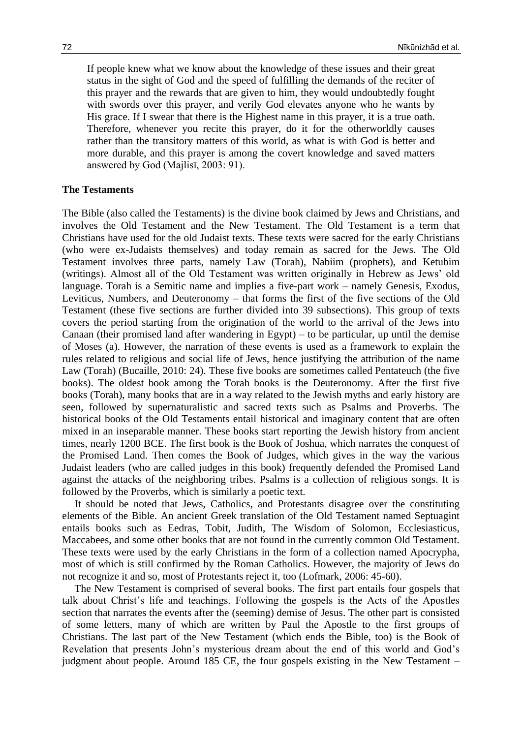If people knew what we know about the knowledge of these issues and their great status in the sight of God and the speed of fulfilling the demands of the reciter of this prayer and the rewards that are given to him, they would undoubtedly fought with swords over this prayer, and verily God elevates anyone who he wants by His grace. If I swear that there is the Highest name in this prayer, it is a true oath. Therefore, whenever you recite this prayer, do it for the otherworldly causes rather than the transitory matters of this world, as what is with God is better and more durable, and this prayer is among the covert knowledge and saved matters answered by God (Majlisī, 2003: 91).

## **The Testaments**

The Bible (also called the Testaments) is the divine book claimed by Jews and Christians, and involves the Old Testament and the New Testament. The Old Testament is a term that Christians have used for the old Judaist texts. These texts were sacred for the early Christians (who were ex-Judaists themselves) and today remain as sacred for the Jews. The Old Testament involves three parts, namely Law (Torah), Nabiim (prophets), and Ketubim (writings). Almost all of the Old Testament was written originally in Hebrew as Jews' old language. Torah is a Semitic name and implies a five-part work – namely Genesis, Exodus, Leviticus, Numbers, and Deuteronomy – that forms the first of the five sections of the Old Testament (these five sections are further divided into 39 subsections). This group of texts covers the period starting from the origination of the world to the arrival of the Jews into Canaan (their promised land after wandering in Egypt) – to be particular, up until the demise of Moses (a). However, the narration of these events is used as a framework to explain the rules related to religious and social life of Jews, hence justifying the attribution of the name Law (Torah) (Bucaille, 2010: 24). These five books are sometimes called Pentateuch (the five books). The oldest book among the Torah books is the Deuteronomy. After the first five books (Torah), many books that are in a way related to the Jewish myths and early history are seen, followed by supernaturalistic and sacred texts such as Psalms and Proverbs. The historical books of the Old Testaments entail historical and imaginary content that are often mixed in an inseparable manner. These books start reporting the Jewish history from ancient times, nearly 1200 BCE. The first book is the Book of Joshua, which narrates the conquest of the Promised Land. Then comes the Book of Judges, which gives in the way the various Judaist leaders (who are called judges in this book) frequently defended the Promised Land against the attacks of the neighboring tribes. Psalms is a collection of religious songs. It is followed by the Proverbs, which is similarly a poetic text.

It should be noted that Jews, Catholics, and Protestants disagree over the constituting elements of the Bible. An ancient Greek translation of the Old Testament named Septuagint entails books such as Eedras, Tobit, Judith, The Wisdom of Solomon, Ecclesiasticus, Maccabees, and some other books that are not found in the currently common Old Testament. These texts were used by the early Christians in the form of a collection named Apocrypha, most of which is still confirmed by the Roman Catholics. However, the majority of Jews do not recognize it and so, most of Protestants reject it, too (Lofmark, 2006: 45-60).

The New Testament is comprised of several books. The first part entails four gospels that talk about Christ's life and teachings. Following the gospels is the Acts of the Apostles section that narrates the events after the (seeming) demise of Jesus. The other part is consisted of some letters, many of which are written by Paul the Apostle to the first groups of Christians. The last part of the New Testament (which ends the Bible, too) is the Book of Revelation that presents John's mysterious dream about the end of this world and God's judgment about people. Around 185 CE, the four gospels existing in the New Testament –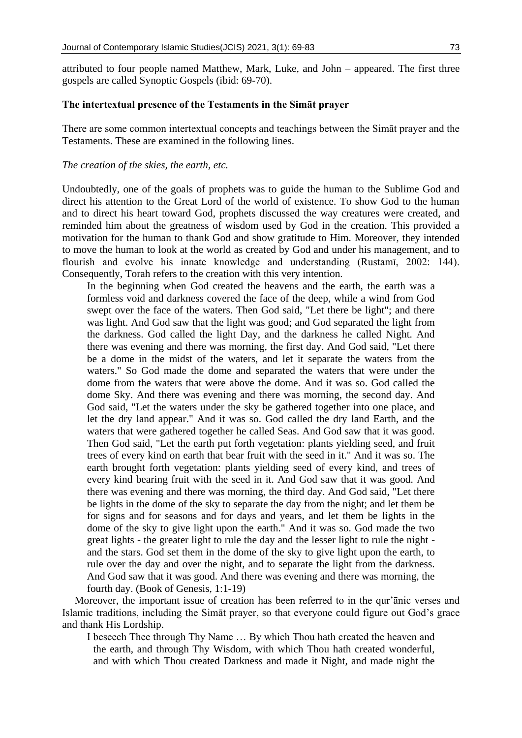attributed to four people named Matthew, Mark, Luke, and John – appeared. The first three gospels are called Synoptic Gospels (ibid: 69-70).

# **The intertextual presence of the Testaments in the Simāt prayer**

There are some common intertextual concepts and teachings between the Simāt prayer and the Testaments. These are examined in the following lines.

# *The creation of the skies, the earth, etc.*

Undoubtedly, one of the goals of prophets was to guide the human to the Sublime God and direct his attention to the Great Lord of the world of existence. To show God to the human and to direct his heart toward God, prophets discussed the way creatures were created, and reminded him about the greatness of wisdom used by God in the creation. This provided a motivation for the human to thank God and show gratitude to Him. Moreover, they intended to move the human to look at the world as created by God and under his management, and to flourish and evolve his innate knowledge and understanding (Rustamī, 2002: 144). Consequently, Torah refers to the creation with this very intention.

In the beginning when God created the heavens and the earth, the earth was a formless void and darkness covered the face of the deep, while a wind from God swept over the face of the waters. Then God said, "Let there be light"; and there was light. And God saw that the light was good; and God separated the light from the darkness. God called the light Day, and the darkness he called Night. And there was evening and there was morning, the first day. And God said, "Let there be a dome in the midst of the waters, and let it separate the waters from the waters." So God made the dome and separated the waters that were under the dome from the waters that were above the dome. And it was so. God called the dome Sky. And there was evening and there was morning, the second day. And God said, "Let the waters under the sky be gathered together into one place, and let the dry land appear." And it was so. God called the dry land Earth, and the waters that were gathered together he called Seas. And God saw that it was good. Then God said, "Let the earth put forth vegetation: plants yielding seed, and fruit trees of every kind on earth that bear fruit with the seed in it." And it was so. The earth brought forth vegetation: plants yielding seed of every kind, and trees of every kind bearing fruit with the seed in it. And God saw that it was good. And there was evening and there was morning, the third day. And God said, "Let there be lights in the dome of the sky to separate the day from the night; and let them be for signs and for seasons and for days and years, and let them be lights in the dome of the sky to give light upon the earth." And it was so. God made the two great lights - the greater light to rule the day and the lesser light to rule the night and the stars. God set them in the dome of the sky to give light upon the earth, to rule over the day and over the night, and to separate the light from the darkness. And God saw that it was good. And there was evening and there was morning, the fourth day. (Book of Genesis, 1:1-19)

Moreover, the important issue of creation has been referred to in the qur'ānic verses and Islamic traditions, including the Simāt prayer, so that everyone could figure out God's grace and thank His Lordship.

I beseech Thee through Thy Name … By which Thou hath created the heaven and the earth, and through Thy Wisdom, with which Thou hath created wonderful, and with which Thou created Darkness and made it Night, and made night the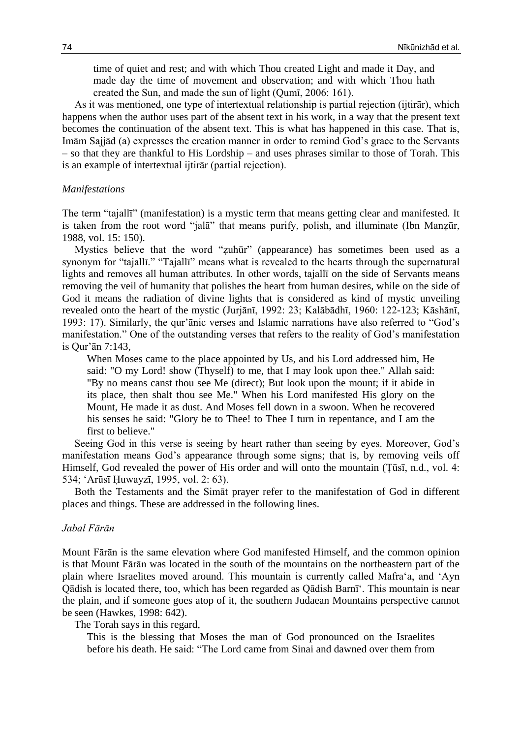time of quiet and rest; and with which Thou created Light and made it Day, and made day the time of movement and observation; and with which Thou hath created the Sun, and made the sun of light (Qumī, 2006: 161).

As it was mentioned, one type of intertextual relationship is partial rejection (ijtirār), which happens when the author uses part of the absent text in his work, in a way that the present text becomes the continuation of the absent text. This is what has happened in this case. That is, Imām Sajjād (a) expresses the creation manner in order to remind God's grace to the Servants – so that they are thankful to His Lordship – and uses phrases similar to those of Torah. This is an example of intertextual ijtirār (partial rejection).

## *Manifestations*

The term "tajallī" (manifestation) is a mystic term that means getting clear and manifested. It is taken from the root word "jalā" that means purify, polish, and illuminate (Ibn Manzūr, 1988, vol. 15: 150).

Mystics believe that the word "ẓuhūr" (appearance) has sometimes been used as a synonym for "tajallī." "Tajallī" means what is revealed to the hearts through the supernatural lights and removes all human attributes. In other words, tajallī on the side of Servants means removing the veil of humanity that polishes the heart from human desires, while on the side of God it means the radiation of divine lights that is considered as kind of mystic unveiling revealed onto the heart of the mystic (Jurjānī, 1992: 23; Kalābādhī, 1960: 122-123; Kāshānī, 1993: 17). Similarly, the qur'ānic verses and Islamic narrations have also referred to "God's manifestation." One of the outstanding verses that refers to the reality of God's manifestation is Qur'ān 7:143,

When Moses came to the place appointed by Us, and his Lord addressed him, He said: "O my Lord! show (Thyself) to me, that I may look upon thee." Allah said: "By no means canst thou see Me (direct); But look upon the mount; if it abide in its place, then shalt thou see Me." When his Lord manifested His glory on the Mount, He made it as dust. And Moses fell down in a swoon. When he recovered his senses he said: "Glory be to Thee! to Thee I turn in repentance, and I am the first to believe."

Seeing God in this verse is seeing by heart rather than seeing by eyes. Moreover, God's manifestation means God's appearance through some signs; that is, by removing veils off Himself, God revealed the power of His order and will onto the mountain (Tūsī, n.d., vol. 4: 534; 'Arūsī Ḥuwayzī, 1995, vol. 2: 63).

Both the Testaments and the Simāt prayer refer to the manifestation of God in different places and things. These are addressed in the following lines.

## *Jabal Fārān*

Mount Fārān is the same elevation where God manifested Himself, and the common opinion is that Mount Fārān was located in the south of the mountains on the northeastern part of the plain where Israelites moved around. This mountain is currently called Mafra'a, and 'Ayn Qādish is located there, too, which has been regarded as Qādish Barnī'. This mountain is near the plain, and if someone goes atop of it, the southern Judaean Mountains perspective cannot be seen (Hawkes, 1998: 642).

The Torah says in this regard,

This is the blessing that Moses the man of God pronounced on the Israelites before his death. He said: "The Lord came from Sinai and dawned over them from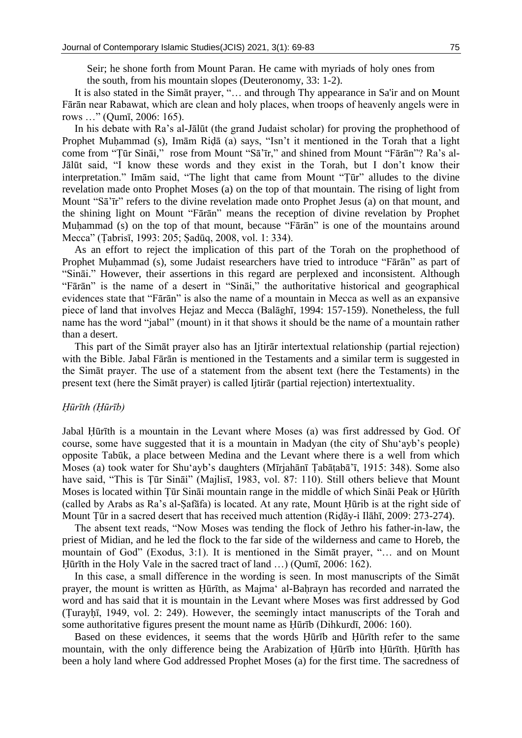Seir; he shone forth from Mount Paran. He came with myriads of holy ones from the south, from his mountain slopes (Deuteronomy, 33: 1-2).

It is also stated in the Simāt prayer, "… and through Thy appearance in Sa'ir and on Mount Fārān near Rabawat, which are clean and holy places, when troops of heavenly angels were in rows …" (Qumī, 2006: 165).

In his debate with Ra's al-Jālūt (the grand Judaist scholar) for proving the prophethood of Prophet Muhammad (s), Imām Ridā (a) says, "Isn't it mentioned in the Torah that a light come from "Ṭūr Sināi," rose from Mount "Sā'īr," and shined from Mount "Fārān"? Ra's al-Jālūt said, "I know these words and they exist in the Torah, but I don't know their interpretation." Imām said, "The light that came from Mount "Ṭūr" alludes to the divine revelation made onto Prophet Moses (a) on the top of that mountain. The rising of light from Mount "Sā'īr" refers to the divine revelation made onto Prophet Jesus (a) on that mount, and the shining light on Mount "Fārān" means the reception of divine revelation by Prophet Muhammad (s) on the top of that mount, because "Fārān" is one of the mountains around Mecca" (Ṭabrisī, 1993: 205; Ṣadūq, 2008, vol. 1: 334).

As an effort to reject the implication of this part of the Torah on the prophethood of Prophet Muḥammad (s), some Judaist researchers have tried to introduce "Fārān" as part of "Sināi." However, their assertions in this regard are perplexed and inconsistent. Although "Fārān" is the name of a desert in "Sināi," the authoritative historical and geographical evidences state that "Fārān" is also the name of a mountain in Mecca as well as an expansive piece of land that involves Hejaz and Mecca (Balāghī, 1994: 157-159). Nonetheless, the full name has the word "jabal" (mount) in it that shows it should be the name of a mountain rather than a desert.

This part of the Simāt prayer also has an Ijtirār intertextual relationship (partial rejection) with the Bible. Jabal Fārān is mentioned in the Testaments and a similar term is suggested in the Simāt prayer. The use of a statement from the absent text (here the Testaments) in the present text (here the Simāt prayer) is called Ijtirār (partial rejection) intertextuality.

#### *Ḥūrīth (Ḥūrīb)*

Jabal Ḥūrīth is a mountain in the Levant where Moses (a) was first addressed by God. Of course, some have suggested that it is a mountain in Madyan (the city of Shu'ayb's people) opposite Tabūk, a place between Medina and the Levant where there is a well from which Moses (a) took water for Shu'ayb's daughters (Mīrjahānī Ṭabāṭabā'ī, 1915: 348). Some also have said, "This is Ṭūr Sināi" (Majlisī, 1983, vol. 87: 110). Still others believe that Mount Moses is located within Ṭūr Sināi mountain range in the middle of which Sināi Peak or Ḥūrīth (called by Arabs as Ra's al-Ṣafāfa) is located. At any rate, Mount Ḥūrib is at the right side of Mount Tūr in a sacred desert that has received much attention (Ridāy-i Ilāhī, 2009: 273-274).

The absent text reads, "Now Moses was tending the flock of Jethro his father-in-law, the priest of Midian, and he led the flock to the far side of the wilderness and came to Horeb, the mountain of God" (Exodus, 3:1). It is mentioned in the Simāt prayer, "… and on Mount Hūrīth in the Holy Vale in the sacred tract of land ...) (Qumī, 2006: 162).

In this case, a small difference in the wording is seen. In most manuscripts of the Simāt prayer, the mount is written as Ḥūrīth, as Majma' al-Baḥrayn has recorded and narrated the word and has said that it is mountain in the Levant where Moses was first addressed by God (Ṭurayḥī, 1949, vol. 2: 249). However, the seemingly intact manuscripts of the Torah and some authoritative figures present the mount name as Ḥūrīb (Dihkurdī, 2006: 160).

Based on these evidences, it seems that the words Ḥūrīb and Ḥūrīth refer to the same mountain, with the only difference being the Arabization of Ḥūrīb into Ḥūrīth. Ḥūrīth has been a holy land where God addressed Prophet Moses (a) for the first time. The sacredness of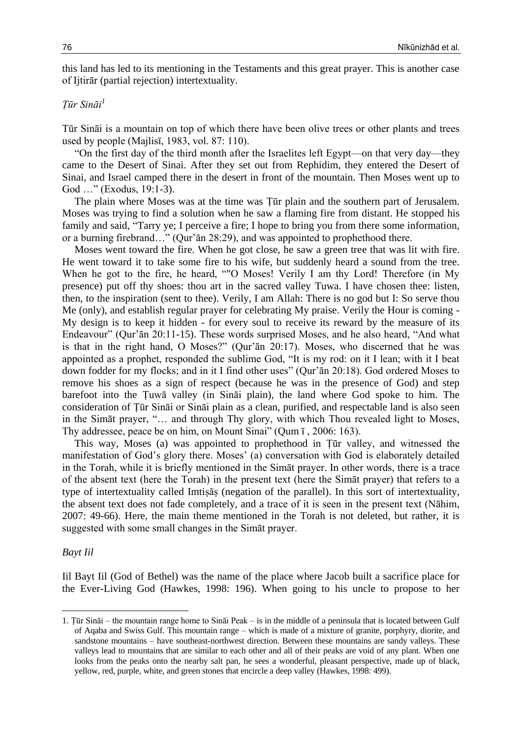this land has led to its mentioning in the Testaments and this great prayer. This is another case of Ijtirār (partial rejection) intertextuality.

# *Ṭūr Sināi<sup>1</sup>*

Tūr Sināi is a mountain on top of which there have been olive trees or other plants and trees used by people (Majlisī, 1983, vol. 87: 110).

"On the first day of the third month after the Israelites left Egypt—on that very day—they came to the Desert of Sinai. After they set out from Rephidim, they entered the Desert of Sinai, and Israel camped there in the desert in front of the mountain. Then Moses went up to God …" (Exodus, 19:1-3).

The plain where Moses was at the time was Ṭūr plain and the southern part of Jerusalem. Moses was trying to find a solution when he saw a flaming fire from distant. He stopped his family and said, "Tarry ye; I perceive a fire; I hope to bring you from there some information, or a burning firebrand…" (Qur'ān 28:29), and was appointed to prophethood there.

Moses went toward the fire. When he got close, he saw a green tree that was lit with fire. He went toward it to take some fire to his wife, but suddenly heard a sound from the tree. When he got to the fire, he heard, ""O Moses! Verily I am thy Lord! Therefore (in My presence) put off thy shoes: thou art in the sacred valley Tuwa. I have chosen thee: listen, then, to the inspiration (sent to thee). Verily, I am Allah: There is no god but I: So serve thou Me (only), and establish regular prayer for celebrating My praise. Verily the Hour is coming - My design is to keep it hidden - for every soul to receive its reward by the measure of its Endeavour" (Qur'ān 20:11-15). These words surprised Moses, and he also heard, "And what is that in the right hand, O Moses?" (Qur'ān 20:17). Moses, who discerned that he was appointed as a prophet, responded the sublime God, "It is my rod: on it I lean; with it I beat down fodder for my flocks; and in it I find other uses" (Qur'ān 20:18). God ordered Moses to remove his shoes as a sign of respect (because he was in the presence of God) and step barefoot into the Ṭuwā valley (in Sināi plain), the land where God spoke to him. The consideration of Ṭūr Sināi or Sināi plain as a clean, purified, and respectable land is also seen in the Simāt prayer, "… and through Thy glory, with which Thou revealed light to Moses, Thy addressee, peace be on him, on Mount Sinai" (Qum ī , 2006: 163).

This way, Moses (a) was appointed to prophethood in Ṭūr valley, and witnessed the manifestation of God's glory there. Moses' (a) conversation with God is elaborately detailed in the Torah, while it is briefly mentioned in the Simāt prayer. In other words, there is a trace of the absent text (here the Torah) in the present text (here the Simāt prayer) that refers to a type of intertextuality called Imtiṣāṣ (negation of the parallel). In this sort of intertextuality, the absent text does not fade completely, and a trace of it is seen in the present text (Nāhim, 2007: 49-66). Here, the main theme mentioned in the Torah is not deleted, but rather, it is suggested with some small changes in the Simāt prayer.

#### *Bayt Iil*

**.** 

Iil Bayt Iil (God of Bethel) was the name of the place where Jacob built a sacrifice place for the Ever-Living God (Hawkes, 1998: 196). When going to his uncle to propose to her

<sup>1.</sup> Ṭūr Sināi – the mountain range home to Sināi Peak – is in the middle of a peninsula that is located between Gulf of Aqaba and Swiss Gulf. This mountain range – which is made of a mixture of granite, porphyry, diorite, and sandstone mountains – have southeast-northwest direction. Between these mountains are sandy valleys. These valleys lead to mountains that are similar to each other and all of their peaks are void of any plant. When one looks from the peaks onto the nearby salt pan, he sees a wonderful, pleasant perspective, made up of black, yellow, red, purple, white, and green stones that encircle a deep valley (Hawkes, 1998: 499).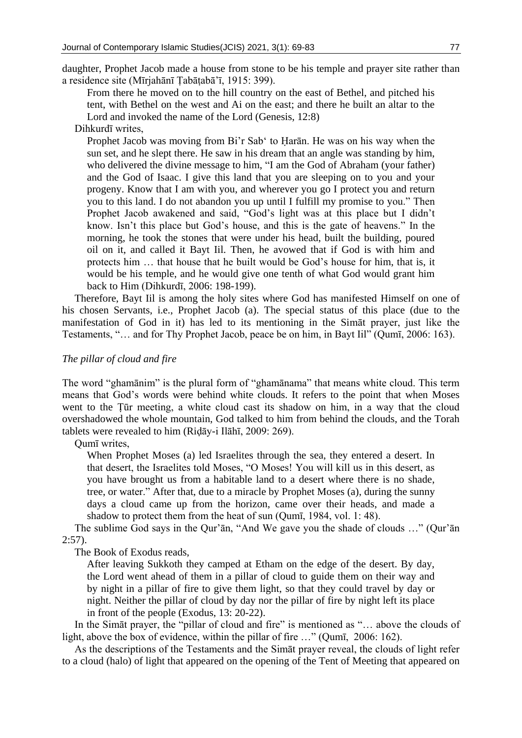daughter, Prophet Jacob made a house from stone to be his temple and prayer site rather than a residence site (Mīrjahānī Ṭabāṭabā'ī, 1915: 399).

From there he moved on to the hill country on the east of Bethel, and pitched his tent, with Bethel on the west and Ai on the east; and there he built an altar to the Lord and invoked the name of the Lord (Genesis, 12:8)

Dihkurdī writes,

Prophet Jacob was moving from Bi'r Sab' to Ḥarān. He was on his way when the sun set, and he slept there. He saw in his dream that an angle was standing by him, who delivered the divine message to him, "I am the God of Abraham (your father) and the God of Isaac. I give this land that you are sleeping on to you and your progeny. Know that I am with you, and wherever you go I protect you and return you to this land. I do not abandon you up until I fulfill my promise to you." Then Prophet Jacob awakened and said, "God's light was at this place but I didn't know. Isn't this place but God's house, and this is the gate of heavens." In the morning, he took the stones that were under his head, built the building, poured oil on it, and called it Bayt Iil. Then, he avowed that if God is with him and protects him … that house that he built would be God's house for him, that is, it would be his temple, and he would give one tenth of what God would grant him back to Him (Dihkurdī, 2006: 198-199).

Therefore, Bayt Iil is among the holy sites where God has manifested Himself on one of his chosen Servants, i.e., Prophet Jacob (a). The special status of this place (due to the manifestation of God in it) has led to its mentioning in the Simāt prayer, just like the Testaments, "… and for Thy Prophet Jacob, peace be on him, in Bayt Iil" (Qumī, 2006: 163).

# *The pillar of cloud and fire*

The word "ghamānim" is the plural form of "ghamānama" that means white cloud. This term means that God's words were behind white clouds. It refers to the point that when Moses went to the Ṭūr meeting, a white cloud cast its shadow on him, in a way that the cloud overshadowed the whole mountain, God talked to him from behind the clouds, and the Torah tablets were revealed to him (Riḍāy-i Ilāhī, 2009: 269).

## Qumī writes,

When Prophet Moses (a) led Israelites through the sea, they entered a desert. In that desert, the Israelites told Moses, "O Moses! You will kill us in this desert, as you have brought us from a habitable land to a desert where there is no shade, tree, or water." After that, due to a miracle by Prophet Moses (a), during the sunny days a cloud came up from the horizon, came over their heads, and made a shadow to protect them from the heat of sun (Qumī, 1984, vol. 1: 48).

The sublime God says in the Qur'ān, "And We gave you the shade of clouds …" (Qur'ān 2:57).

The Book of Exodus reads,

After leaving Sukkoth they camped at Etham on the edge of the desert. By day, the Lord went ahead of them in a pillar of cloud to guide them on their way and by night in a pillar of fire to give them light, so that they could travel by day or night. Neither the pillar of cloud by day nor the pillar of fire by night left its place in front of the people (Exodus, 13: 20-22).

In the Simāt prayer, the "pillar of cloud and fire" is mentioned as "... above the clouds of light, above the box of evidence, within the pillar of fire …" (Qumī, 2006: 162).

As the descriptions of the Testaments and the Simāt prayer reveal, the clouds of light refer to a cloud (halo) of light that appeared on the opening of the Tent of Meeting that appeared on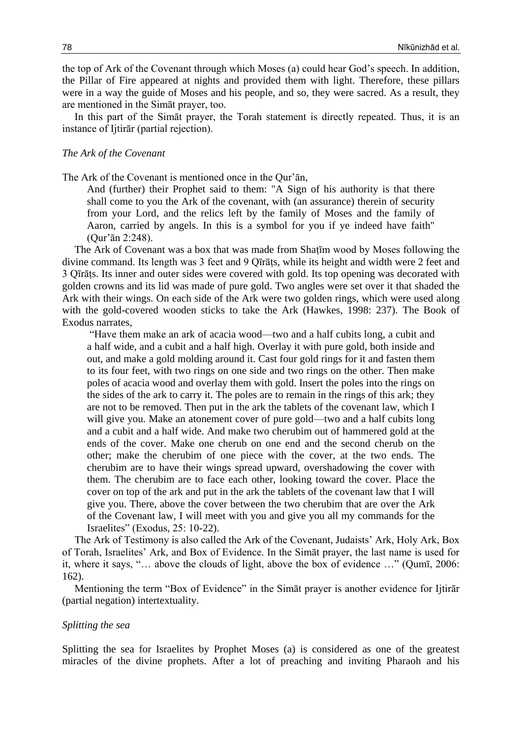the top of Ark of the Covenant through which Moses (a) could hear God's speech. In addition, the Pillar of Fire appeared at nights and provided them with light. Therefore, these pillars were in a way the guide of Moses and his people, and so, they were sacred. As a result, they are mentioned in the Simāt prayer, too.

In this part of the Simāt prayer, the Torah statement is directly repeated. Thus, it is an instance of Ijtirār (partial rejection).

## *The Ark of the Covenant*

The Ark of the Covenant is mentioned once in the Qur'ān,

And (further) their Prophet said to them: "A Sign of his authority is that there shall come to you the Ark of the covenant, with (an assurance) therein of security from your Lord, and the relics left by the family of Moses and the family of Aaron, carried by angels. In this is a symbol for you if ye indeed have faith" (Qur'ān 2:248).

The Ark of Covenant was a box that was made from Shaṭīm wood by Moses following the divine command. Its length was 3 feet and 9 Qīrāṭs, while its height and width were 2 feet and 3 Qīrāṭs. Its inner and outer sides were covered with gold. Its top opening was decorated with golden crowns and its lid was made of pure gold. Two angles were set over it that shaded the Ark with their wings. On each side of the Ark were two golden rings, which were used along with the gold-covered wooden sticks to take the Ark (Hawkes, 1998: 237). The Book of Exodus narrates,

"Have them make an ark of acacia wood—two and a half cubits long, a cubit and a half wide, and a cubit and a half high. Overlay it with pure gold, both inside and out, and make a gold molding around it. Cast four gold rings for it and fasten them to its four feet, with two rings on one side and two rings on the other. Then make poles of acacia wood and overlay them with gold. Insert the poles into the rings on the sides of the ark to carry it. The poles are to remain in the rings of this ark; they are not to be removed. Then put in the ark the tablets of the covenant law, which I will give you. Make an atonement cover of pure gold—two and a half cubits long and a cubit and a half wide. And make two cherubim out of hammered gold at the ends of the cover. Make one cherub on one end and the second cherub on the other; make the cherubim of one piece with the cover, at the two ends. The cherubim are to have their wings spread upward, overshadowing the cover with them. The cherubim are to face each other, looking toward the cover. Place the cover on top of the ark and put in the ark the tablets of the covenant law that I will give you. There, above the cover between the two cherubim that are over the Ark of the Covenant law, I will meet with you and give you all my commands for the Israelites" (Exodus, 25: 10-22).

The Ark of Testimony is also called the Ark of the Covenant, Judaists' Ark, Holy Ark, Box of Torah, Israelites' Ark, and Box of Evidence. In the Simāt prayer, the last name is used for it, where it says, "… above the clouds of light, above the box of evidence …" (Qumī, 2006: 162).

Mentioning the term "Box of Evidence" in the Simāt prayer is another evidence for Ijtirār (partial negation) intertextuality.

#### *Splitting the sea*

Splitting the sea for Israelites by Prophet Moses (a) is considered as one of the greatest miracles of the divine prophets. After a lot of preaching and inviting Pharaoh and his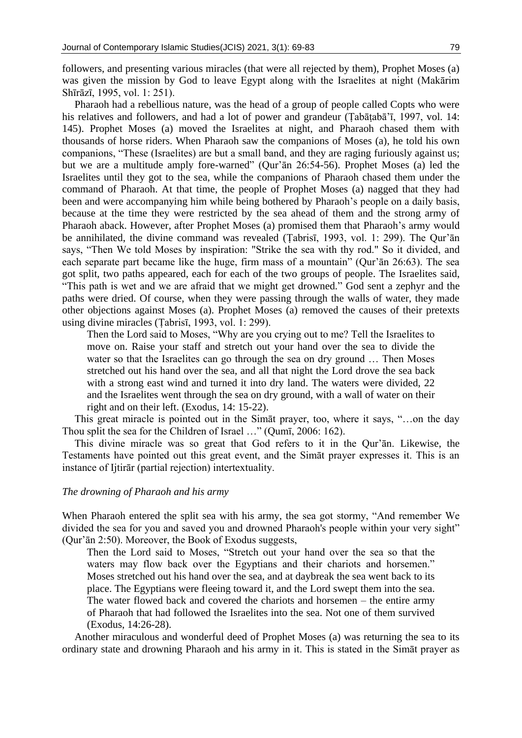followers, and presenting various miracles (that were all rejected by them), Prophet Moses (a) was given the mission by God to leave Egypt along with the Israelites at night (Makārim Shīrāzī, 1995, vol. 1: 251).

Pharaoh had a rebellious nature, was the head of a group of people called Copts who were his relatives and followers, and had a lot of power and grandeur (Tabāṭabā'ī, 1997, vol. 14: 145). Prophet Moses (a) moved the Israelites at night, and Pharaoh chased them with thousands of horse riders. When Pharaoh saw the companions of Moses (a), he told his own companions, "These (Israelites) are but a small band, and they are raging furiously against us; but we are a multitude amply fore-warned" (Qur'ān 26:54-56). Prophet Moses (a) led the Israelites until they got to the sea, while the companions of Pharaoh chased them under the command of Pharaoh. At that time, the people of Prophet Moses (a) nagged that they had been and were accompanying him while being bothered by Pharaoh's people on a daily basis, because at the time they were restricted by the sea ahead of them and the strong army of Pharaoh aback. However, after Prophet Moses (a) promised them that Pharaoh's army would be annihilated, the divine command was revealed (Ṭabrisī, 1993, vol. 1: 299). The Qur'ān says, "Then We told Moses by inspiration: "Strike the sea with thy rod." So it divided, and each separate part became like the huge, firm mass of a mountain" (Qur'ān 26:63). The sea got split, two paths appeared, each for each of the two groups of people. The Israelites said, "This path is wet and we are afraid that we might get drowned." God sent a zephyr and the paths were dried. Of course, when they were passing through the walls of water, they made other objections against Moses (a). Prophet Moses (a) removed the causes of their pretexts using divine miracles (Ṭabrisī, 1993, vol. 1: 299).

Then the Lord said to Moses, "Why are you crying out to me? Tell the Israelites to move on. Raise your staff and stretch out your hand over the sea to divide the water so that the Israelites can go through the sea on dry ground … Then Moses stretched out his hand over the sea, and all that night the Lord drove the sea back with a strong east wind and turned it into dry land. The waters were divided, 22 and the Israelites went through the sea on dry ground, with a wall of water on their right and on their left. (Exodus, 14: 15-22).

This great miracle is pointed out in the Simāt prayer, too, where it says, "…on the day Thou split the sea for the Children of Israel …" (Qumī, 2006: 162).

This divine miracle was so great that God refers to it in the Qur'ān. Likewise, the Testaments have pointed out this great event, and the Simāt prayer expresses it. This is an instance of Ijtirār (partial rejection) intertextuality.

#### *The drowning of Pharaoh and his army*

When Pharaoh entered the split sea with his army, the sea got stormy, "And remember We divided the sea for you and saved you and drowned Pharaoh's people within your very sight" (Qur'ān 2:50). Moreover, the Book of Exodus suggests,

Then the Lord said to Moses, "Stretch out your hand over the sea so that the waters may flow back over the Egyptians and their chariots and horsemen." Moses stretched out his hand over the sea, and at daybreak the sea went back to its place. The Egyptians were fleeing toward it, and the Lord swept them into the sea. The water flowed back and covered the chariots and horsemen – the entire army of Pharaoh that had followed the Israelites into the sea. Not one of them survived (Exodus, 14:26-28).

Another miraculous and wonderful deed of Prophet Moses (a) was returning the sea to its ordinary state and drowning Pharaoh and his army in it. This is stated in the Simāt prayer as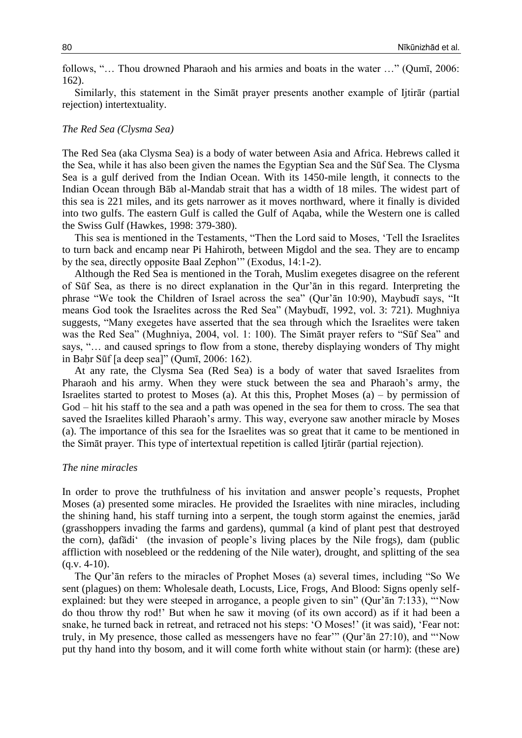follows, "… Thou drowned Pharaoh and his armies and boats in the water …" (Qumī, 2006: 162).

Similarly, this statement in the Simāt prayer presents another example of Ijtirār (partial rejection) intertextuality.

## *The Red Sea (Clysma Sea)*

The Red Sea (aka Clysma Sea) is a body of water between Asia and Africa. Hebrews called it the Sea, while it has also been given the names the Egyptian Sea and the Sūf Sea. The Clysma Sea is a gulf derived from the Indian Ocean. With its 1450-mile length, it connects to the Indian Ocean through Bāb al-Mandab strait that has a width of 18 miles. The widest part of this sea is 221 miles, and its gets narrower as it moves northward, where it finally is divided into two gulfs. The eastern Gulf is called the Gulf of Aqaba, while the Western one is called the Swiss Gulf (Hawkes, 1998: 379-380).

This sea is mentioned in the Testaments, "Then the Lord said to Moses, 'Tell the Israelites to turn back and encamp near Pi Hahiroth, between Migdol and the sea. They are to encamp by the sea, directly opposite Baal Zephon'" (Exodus, 14:1-2).

Although the Red Sea is mentioned in the Torah, Muslim exegetes disagree on the referent of Sūf Sea, as there is no direct explanation in the Qur'ān in this regard. Interpreting the phrase "We took the Children of Israel across the sea" (Qur'ān 10:90), Maybudī says, "It means God took the Israelites across the Red Sea" (Maybudī, 1992, vol. 3: 721). Mughniya suggests, "Many exegetes have asserted that the sea through which the Israelites were taken was the Red Sea" (Mughniya, 2004, vol. 1: 100). The Simāt prayer refers to "Sūf Sea" and says, "… and caused springs to flow from a stone, thereby displaying wonders of Thy might in Baḥr Sūf [a deep sea]" (Qumī, 2006: 162).

At any rate, the Clysma Sea (Red Sea) is a body of water that saved Israelites from Pharaoh and his army. When they were stuck between the sea and Pharaoh's army, the Israelites started to protest to Moses (a). At this this, Prophet Moses (a) – by permission of God – hit his staff to the sea and a path was opened in the sea for them to cross. The sea that saved the Israelites killed Pharaoh's army. This way, everyone saw another miracle by Moses (a). The importance of this sea for the Israelites was so great that it came to be mentioned in the Simāt prayer. This type of intertextual repetition is called Ijtirār (partial rejection).

### *The nine miracles*

In order to prove the truthfulness of his invitation and answer people's requests, Prophet Moses (a) presented some miracles. He provided the Israelites with nine miracles, including the shining hand, his staff turning into a serpent, the tough storm against the enemies, jarād (grasshoppers invading the farms and gardens), qummal (a kind of plant pest that destroyed the corn), ḍafādi' (the invasion of people's living places by the Nile frogs), dam (public affliction with nosebleed or the reddening of the Nile water), drought, and splitting of the sea  $(q.v. 4-10)$ .

The Qur'ān refers to the miracles of Prophet Moses (a) several times, including "So We sent (plagues) on them: Wholesale death, Locusts, Lice, Frogs, And Blood: Signs openly selfexplained: but they were steeped in arrogance, a people given to sin" (Qur'ān 7:133), "'Now do thou throw thy rod!' But when he saw it moving (of its own accord) as if it had been a snake, he turned back in retreat, and retraced not his steps: 'O Moses!' (it was said), 'Fear not: truly, in My presence, those called as messengers have no fear'" (Qur'ān 27:10), and "'Now put thy hand into thy bosom, and it will come forth white without stain (or harm): (these are)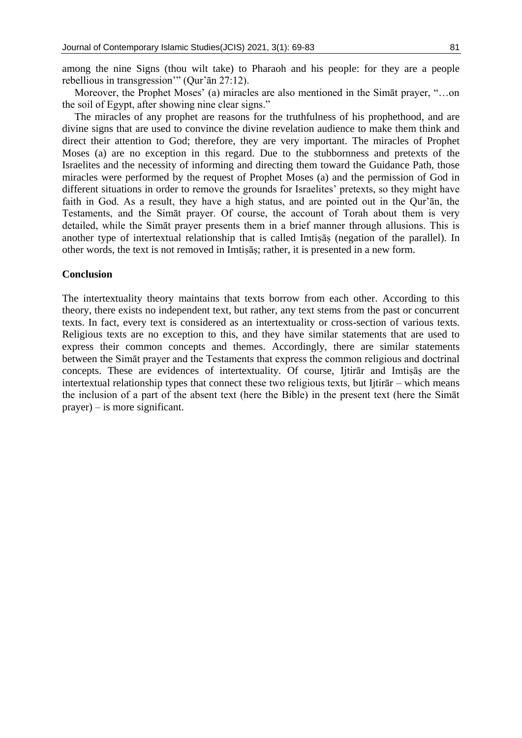Moreover, the Prophet Moses' (a) miracles are also mentioned in the Simāt prayer, "…on the soil of Egypt, after showing nine clear signs."

The miracles of any prophet are reasons for the truthfulness of his prophethood, and are divine signs that are used to convince the divine revelation audience to make them think and direct their attention to God; therefore, they are very important. The miracles of Prophet Moses (a) are no exception in this regard. Due to the stubbornness and pretexts of the Israelites and the necessity of informing and directing them toward the Guidance Path, those miracles were performed by the request of Prophet Moses (a) and the permission of God in different situations in order to remove the grounds for Israelites' pretexts, so they might have faith in God. As a result, they have a high status, and are pointed out in the Qur'ān, the Testaments, and the Simāt prayer. Of course, the account of Torah about them is very detailed, while the Simāt prayer presents them in a brief manner through allusions. This is another type of intertextual relationship that is called Imtiṣāṣ (negation of the parallel). In other words, the text is not removed in Imtiṣāṣ; rather, it is presented in a new form.

## **Conclusion**

The intertextuality theory maintains that texts borrow from each other. According to this theory, there exists no independent text, but rather, any text stems from the past or concurrent texts. In fact, every text is considered as an intertextuality or cross-section of various texts. Religious texts are no exception to this, and they have similar statements that are used to express their common concepts and themes. Accordingly, there are similar statements between the Simāt prayer and the Testaments that express the common religious and doctrinal concepts. These are evidences of intertextuality. Of course, Ijtirat and Imtisas are the intertextual relationship types that connect these two religious texts, but Ijtirār – which means the inclusion of a part of the absent text (here the Bible) in the present text (here the Simāt prayer) – is more significant.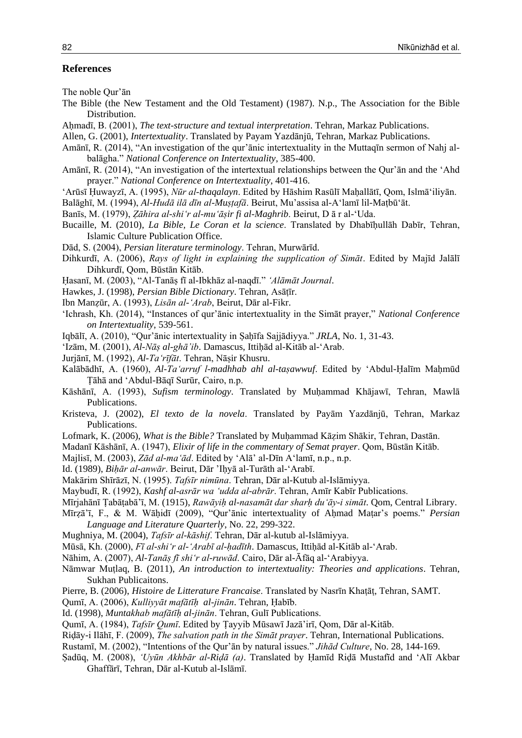#### **References**

The noble Qur'ān

- The Bible (the New Testament and the Old Testament) (1987). N.p., The Association for the Bible Distribution.
- Aḥmadī, B. (2001), *The text-structure and textual interpretation*. Tehran, Markaz Publications.
- Allen, G. (2001), *Intertextuality*. Translated by Payam Yazdānjū, Tehran, Markaz Publications.
- Amānī, R. (2014), "An investigation of the qur'ānic intertextuality in the Muttaqīn sermon of Nahj albalāgha." *National Conference on Intertextuality*, 385-400.
- Amānī, R. (2014), "An investigation of the intertextual relationships between the Qur'ān and the 'Ahd prayer." *National Conference on Intertextuality*, 401-416.
- 'Arūsī Ḥuwayzī, A. (1995), *Nūr al-thaqalayn*. Edited by Hāshim Rasūlī Maḥallātī, Qom, Islmā'iliyān.
- Balāghī, M. (1994), *Al-Hudā ilā dīn al-Muṣṭafā*. Beirut, Mu'assisa al-A'lamī lil-Maṭbū'āt.
- Banīs, M. (1979), *Ẓāhira al-shi'r al-mu'āṣir fi al-Maghrib*. Beirut, D ā r al-'Uda.
- Bucaille, M. (2010), *La Bible, Le Coran et la science*. Translated by Dhabīḥullāh Dabīr, Tehran, Islamic Culture Publication Office.
- Dād, S. (2004), *Persian literature terminology*. Tehran, Murwārīd.
- Dihkurdī, A. (2006), *Rays of light in explaining the supplication of Simāt*. Edited by Majīd Jalālī Dihkurdī, Qom, Būstān Kitāb.
- Ḥasanī, M. (2003), "Al-Tanāṣ fī al-Ibkhāz al-naqdī." *'Alāmāt Journal*.
- Hawkes, J. (1998), *Persian Bible Dictionary*. Tehran, Asāṭīr.
- Ibn Manẓūr, A. (1993), *Lisān al-'Arab*, Beirut, Dār al-Fikr.
- 'Ichrash, Kh. (2014), "Instances of qur'ānic intertextuality in the Simāt prayer," *National Conference on Intertextuality*, 539-561.
- Iqbālī, A. (2010), "Qur'ānic intertextuality in Ṣaḥīfa Sajjādiyya." *JRLA*, No. 1, 31-43.
- 'Izām, M. (2001), *Al-Nāṣ al-ghā'ib*. Damascus, Ittiḥād al-Kitāb al-'Arab.
- Jurjānī, M. (1992), *Al-Ta'rīfāt*. Tehran, Nāṣir Khusru.
- Kalābādhī, A. (1960), *Al-Ta'arruf l-madhhab ahl al-taṣawwuf*. Edited by 'Abdul-Ḥalīm Maḥmūd Ṭāhā and 'Abdul-Bāqī Surūr, Cairo, n.p.
- Kāshānī, A. (1993), *Sufism terminology*. Translated by Muḥammad Khājawī, Tehran, Mawlā Publications.
- Kristeva, J. (2002), *El texto de la novela*. Translated by Payām Yazdānjū, Tehran, Markaz Publications.
- Lofmark, K. (2006), *What is the Bible?* Translated by Muḥammad Kāẓim Shākir, Tehran, Dastān.
- Madanī Kāshānī, A. (1947), *Elixir of life in the commentary of Semat prayer*. Qom, Būstān Kitāb.
- Majlisī, M. (2003), *Zād al-ma'ād*. Edited by 'Alā' al-Dīn A'lamī, n.p., n.p.
- Id. (1989), *Biḥār al-anwār*. Beirut, Dār 'Iḥyā al-Turāth al-'Arabī.
- Makārim Shīrāzī, N. (1995). *Tafsīr nimūna*. Tehran, Dār al-Kutub al-Islāmiyya.
- Maybudī, R. (1992), *Kashf al-asrār wa 'udda al-abrār*. Tehran, Amīr Kabīr Publications.
- Mīrjahānī Ṭabāṭabā'ī, M. (1915), *Rawāyiḥ al-nasamāt dar sharḥ du'āy-i simāt*. Qom, Central Library.
- Mīrẓā'ī, F., & M. Wāḥidī (2009), "Qur'ānic intertextuality of Aḥmad Maṭar's poems." *Persian Language and Literature Quarterly*, No. 22, 299-322.
- Mughniya, M. (2004), *Tafsīr al-kāshif*. Tehran, Dār al-kutub al-Islāmiyya.
- Mūsā, Kh. (2000), *Fī al-shi'r al-'Arabī al-ḥadīth*. Damascus, Ittiḥād al-Kitāb al-'Arab.
- Nāhim, A. (2007), *Al-Tanāṣ fī shi'r al-ruwād*. Cairo, Dār al-Āfāq al-'Arabiyya.
- Nāmwar Muṭlaq, B. (2011), *An introduction to intertextuality: Theories and applications*. Tehran, Sukhan Publicaitons.
- Pierre, B. (2006), *Histoire de Litterature Francaise*. Translated by Nasrīn Khaṭāṭ, Tehran, SAMT.
- Qumī, A. (2006), *Kulliyyāt mafātīḥ al-jinān*. Tehran, Ḥabīb.
- Id. (1998), *Muntakhab mafātīḥ al-jinān*. Tehran, Gulī Publications.
- Qumī, A. (1984), *Tafsīr Qumī*. Edited by Ṭayyib Mūsawī Jazā'irī, Qom, Dār al-Kitāb.
- Riḍāy-i Ilāhī, F. (2009), *The salvation path in the Simāt prayer*. Tehran, International Publications.
- Rustamī, M. (2002), "Intentions of the Qur'ān by natural issues." *Jihād Culture*, No. 28, 144-169.
- Ṣadūq, M. (2008), *'Uyūn Akhbār al-Riḍā (a)*. Translated by Ḥamīd Riḍā Mustafīd and 'Alī Akbar Ghaffārī, Tehran, Dār al-Kutub al-Islāmī.